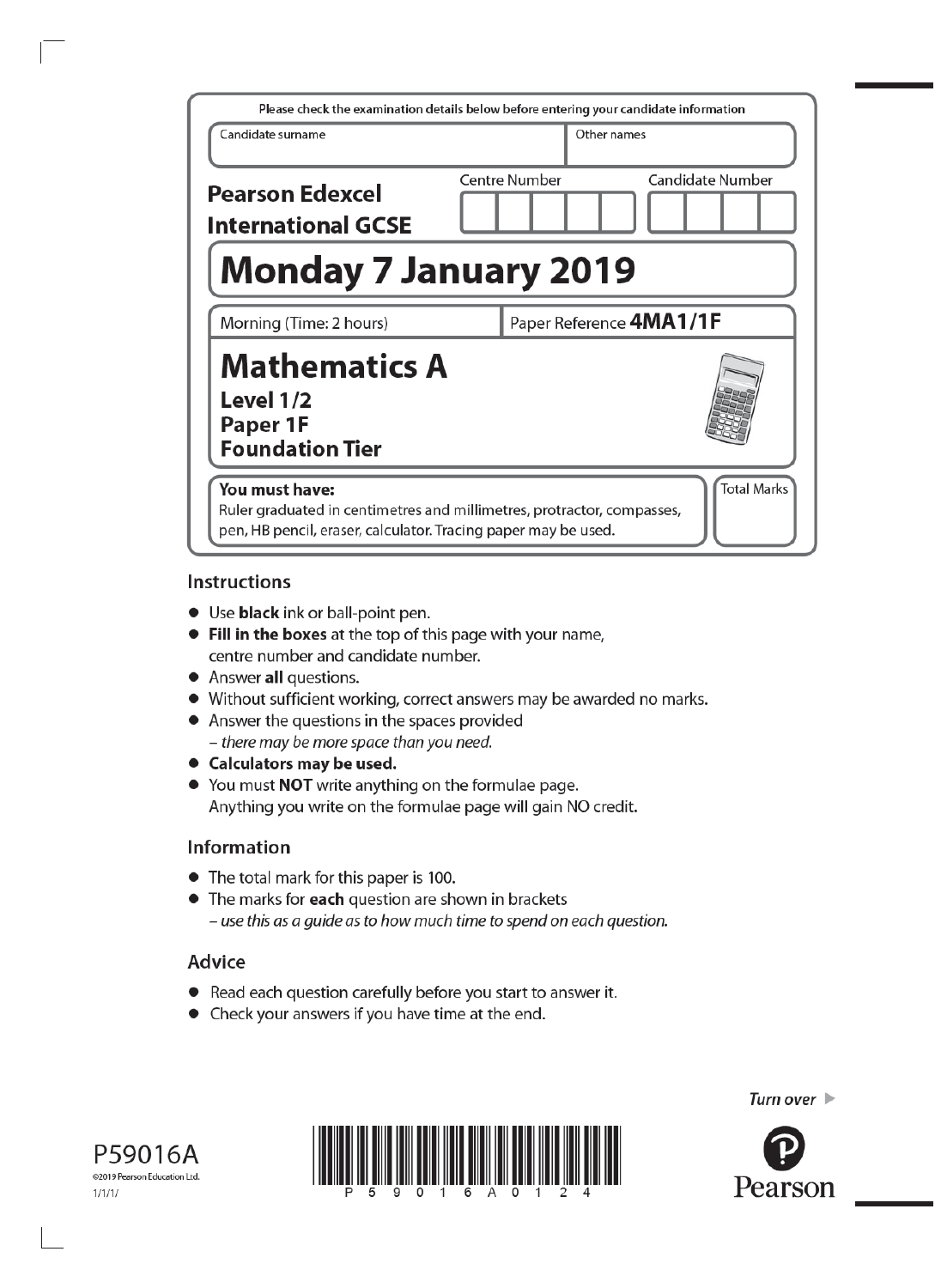| Please check the examination details below before entering your candidate information                                                                                            |                         |                  |  |
|----------------------------------------------------------------------------------------------------------------------------------------------------------------------------------|-------------------------|------------------|--|
| Candidate surname                                                                                                                                                                | Other names             |                  |  |
| <b>Pearson Edexcel</b><br><b>International GCSE</b>                                                                                                                              | Centre Number           | Candidate Number |  |
| <b>Monday 7 January 2019</b>                                                                                                                                                     |                         |                  |  |
| Morning (Time: 2 hours)                                                                                                                                                          | Paper Reference 4MA1/1F |                  |  |
| <b>Mathematics A</b><br>Level 1/2<br>Paper 1F<br><b>Foundation Tier</b>                                                                                                          |                         |                  |  |
| <b>Total Marks</b><br>You must have:<br>Ruler graduated in centimetres and millimetres, protractor, compasses,<br>pen, HB pencil, eraser, calculator. Tracing paper may be used. |                         |                  |  |

#### **Instructions**

- Use black ink or ball-point pen.
- Fill in the boxes at the top of this page with your name, centre number and candidate number.
- Answer all questions.
- Without sufficient working, correct answers may be awarded no marks.
- Answer the questions in the spaces provided - there may be more space than you need.
- Calculators may be used.
- You must NOT write anything on the formulae page. Anything you write on the formulae page will gain NO credit.

#### **Information**

- The total mark for this paper is 100.
- The marks for each question are shown in brackets - use this as a guide as to how much time to spend on each question.

#### Advice

- Read each question carefully before you start to answer it.
- Check your answers if you have time at the end.





Turn over  $\blacktriangleright$ 

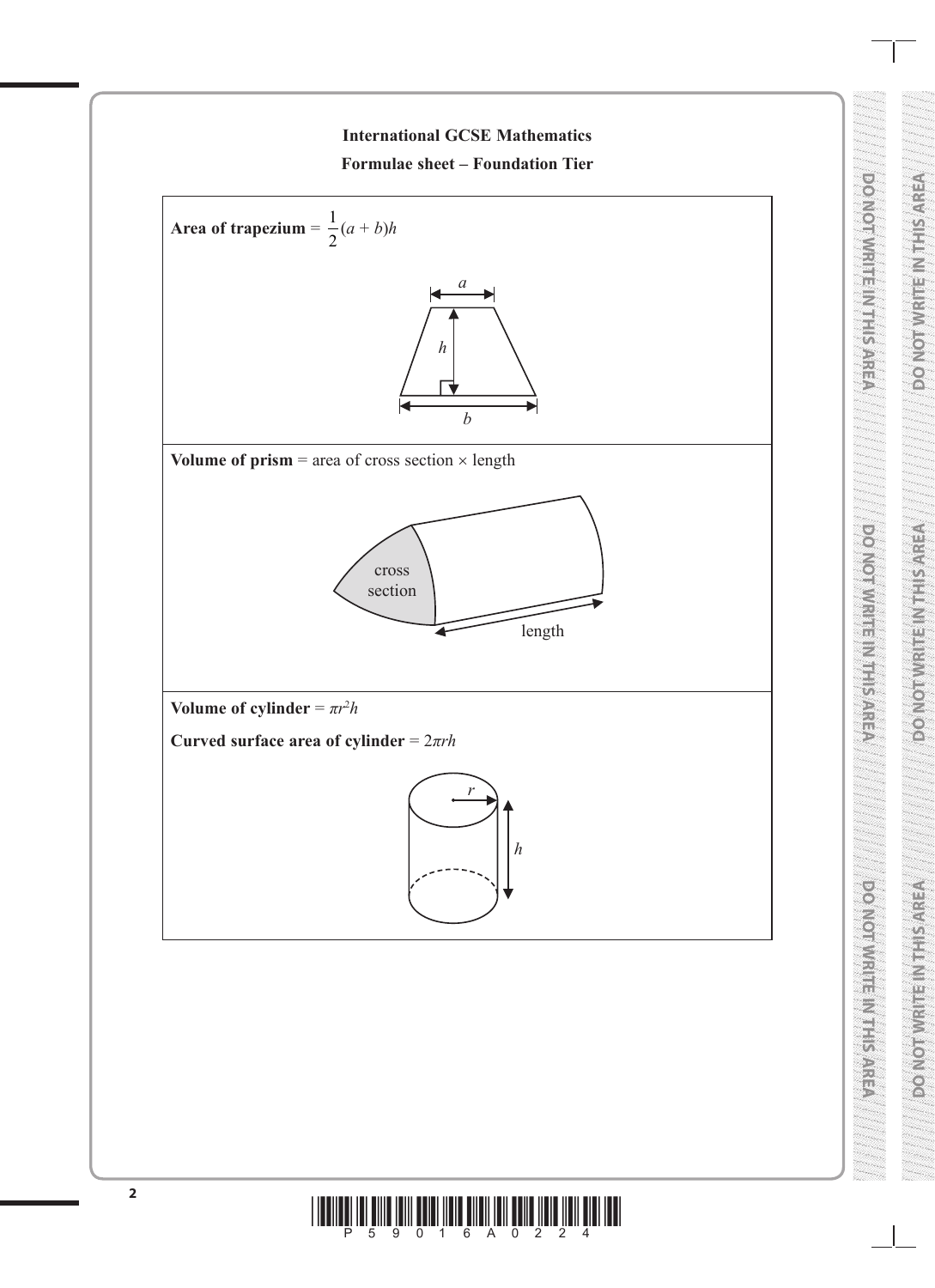

**DO NOT WRITE IN THE INTERNATIONAL PROPERTY AND INTERNATIONAL PROPERTY AND INTERNATIONAL PROPERTY AND INTERNATIONAL PROPERTY AND INTERNATIONAL PROPERTY AND INTERNATIONAL PROPERTY AND INTERNATIONAL PROPERTY AND INTERNATIONA** 

**ROADORMARE NIER SYNSOLO** 

**DO NOT WRITE IN THE INTERNATIONAL PROPERTY AREA** 

**DO NOT WRITE IN THIS AREA DO NOT WRITE IN THIS AREA DO NOT WRITE IN THIS AREA**

**TENNES REAL SERVICES** 

**DO NOT WRITE IN THIS AREA**

### $\frac{1}{2}$  . The star  $\frac{2}{3}$  and  $\frac{2}{3}$  and  $\frac{1}{3}$  and  $\frac{2}{3}$  and  $\frac{2}{3}$  and  $\frac{2}{3}$  and  $\frac{1}{3}$  and  $\frac{1}{3}$  and  $\frac{1}{3}$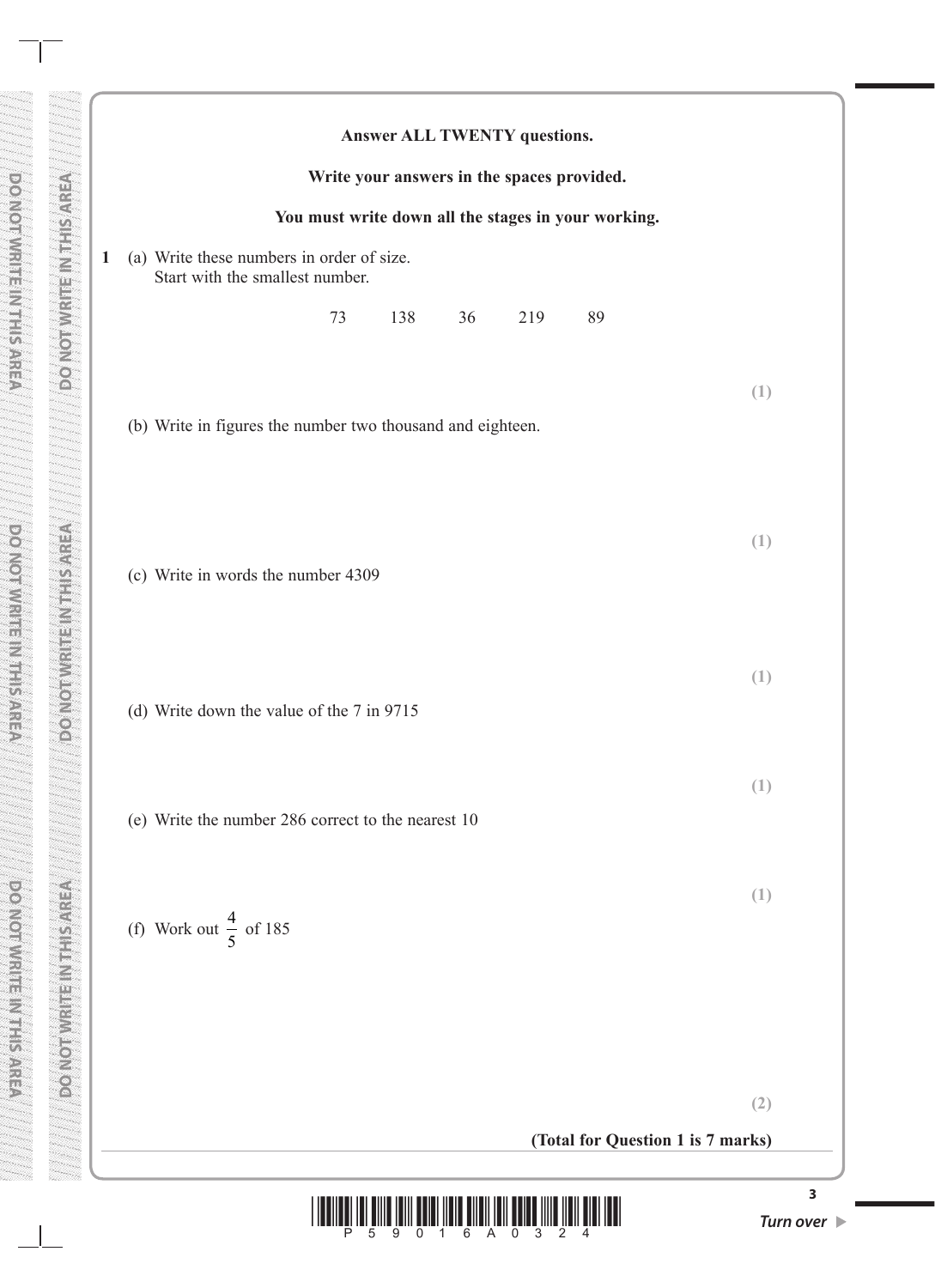|              | Answer ALL TWENTY questions.                                                 |     |
|--------------|------------------------------------------------------------------------------|-----|
|              | Write your answers in the spaces provided.                                   |     |
|              | You must write down all the stages in your working.                          |     |
| $\mathbf{1}$ | (a) Write these numbers in order of size.<br>Start with the smallest number. |     |
|              | 73<br>138<br>36<br>219<br>89                                                 |     |
|              | (b) Write in figures the number two thousand and eighteen.                   | (1) |
|              | (c) Write in words the number 4309                                           | (1) |
|              | (d) Write down the value of the 7 in 9715                                    | (1) |
|              | (e) Write the number 286 correct to the nearest 10                           | (1) |
|              | (f) Work out $\frac{4}{5}$ of 185                                            | (1) |
|              |                                                                              | (2) |
|              | (Total for Question 1 is 7 marks)                                            |     |
|              |                                                                              |     |

**DO NOT WRITE IN THE INTERNATIONAL PROPERTY IN THE INTERNATIONAL PROPERTY IN THE INTERNATIONAL PROPERTY IN THE** 

**DO NOTWRITE IN INSTRU** 

 $\overline{\phantom{a}}$ 

DO NOT WRITE IN THIS AREA

**DO NOT WRITE IN THIS AREA**

**DOMESTING** NEURON

**DO NOT WRITE IN THIS AREA AREA AREA AREA AREA DO NOT WRITE IN THIS AREA ARE** 

**DONOTWRITEINSHIS AREA** 

**DO NOT WRITE IN THIS AREA** 

**DO NOT WRITE IN THIS AREA**

DO NOT WRITE IN THIS AREA

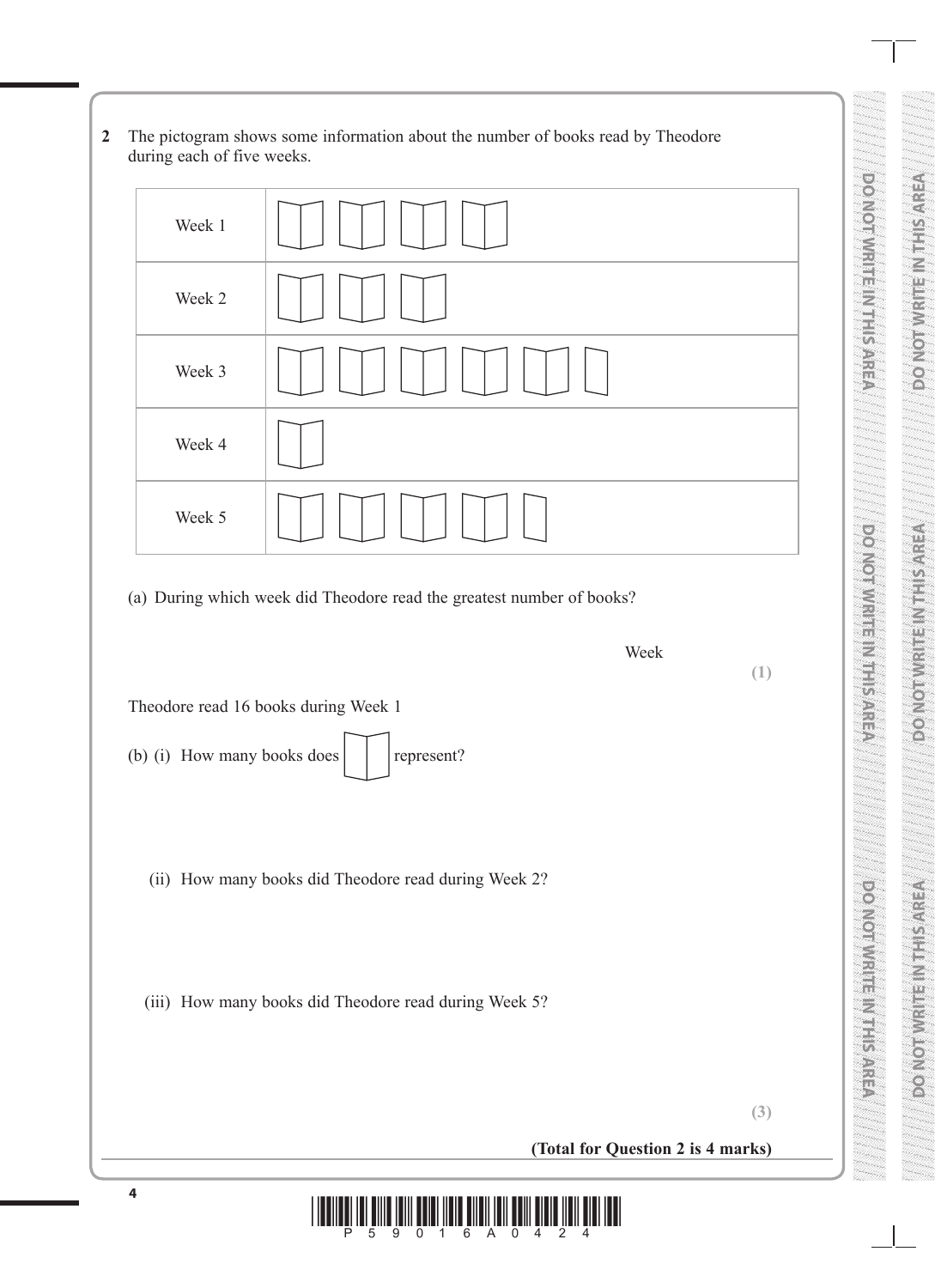**2** The pictogram shows some information about the number of books read by Theodore during each of five weeks.



(a) During which week did Theodore read the greatest number of books?

**(1)**

Week

**DO NOT WRITE IN THE INTERNATIONAL PROPERTY AND INTERNATIONAL PROPERTY AND INTERNATIONAL PROPERTY AND INTERNATIONAL PROPERTY AND INTERNATIONAL PROPERTY AND INTERNATIONAL PROPERTY AND INTERNATIONAL PROPERTY AND INTERNATIONA** 

VERVEL II NEISWICHOO

Values in Nith and the New

**DO NOT WRITE IN THE INTERNATIONAL PROPERTY AREA** 

**DONOVICE IN ESTIMATE** 

**DO NOT WRITE IN THIS AREA DO NOT WRITE IN THIS AREA DO NOT WRITE IN THIS AREA**

**TENNES REAL SERVICES** 

**DO NOT WRITE IN THIS AREA**

**DONOBURER NEEDER** 

Theodore read 16 books during Week 1

- (b) (i) How many books does  $\vert \vert$  represent?
	- (ii) How many books did Theodore read during Week 2?

(iii) How many books did Theodore read during Week 5?

**(3)**

**(Total for Question 2 is 4 marks)**

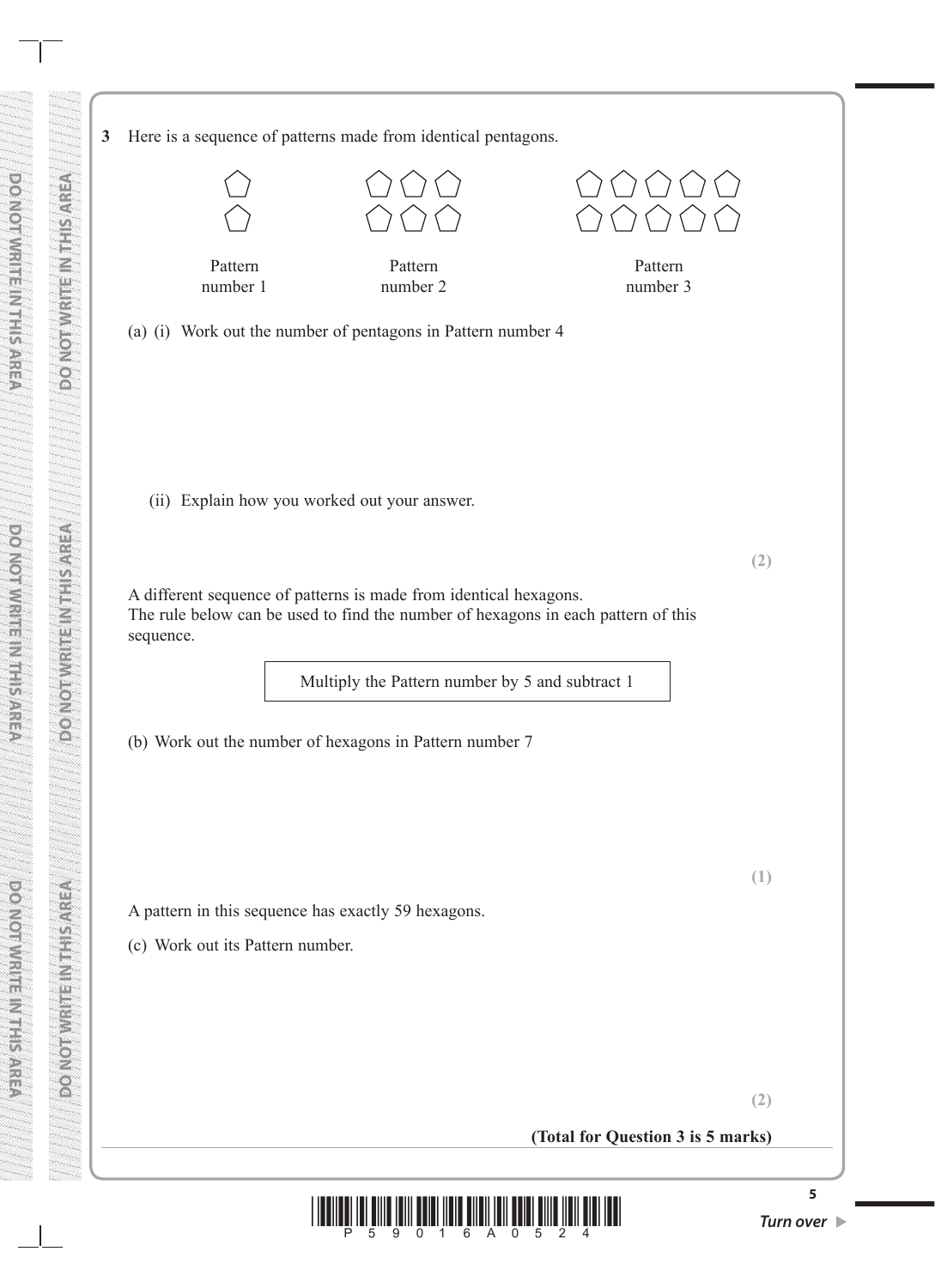**3** Here is a sequence of patterns made from identical pentagons.

**DO NOT WRITE IN THE INTERNATIONAL PROPERTY IN THE INTERNATIONAL PROPERTY IN THE INTERNATIONAL PROPERTY IN THE** 

**PONDAY CONTROL SANT** 

Z

 $\begin{bmatrix} 0 \ 0 \end{bmatrix}$ 

**DO NOT WRITE IN THIS AREA**

**DO NOT WRITE IN THIS AREA AREA AREA AREA AREA DO NOT WRITE IN THIS AREA ARE** 

 $\frac{1}{2}$ 

Z

C)<br>Ch

**DO NOT WRITE IN THIS AREA**

Pattern number 1 Pattern number 2 Pattern number 3 (a) (i) Work out the number of pentagons in Pattern number 4 (ii) Explain how you worked out your answer. **(2)** A different sequence of patterns is made from identical hexagons. The rule below can be used to find the number of hexagons in each pattern of this sequence. Multiply the Pattern number by 5 and subtract 1 (b) Work out the number of hexagons in Pattern number 7 **(1)** A pattern in this sequence has exactly 59 hexagons. (c) Work out its Pattern number.

**(2)**

**(Total for Question 3 is 5 marks)**

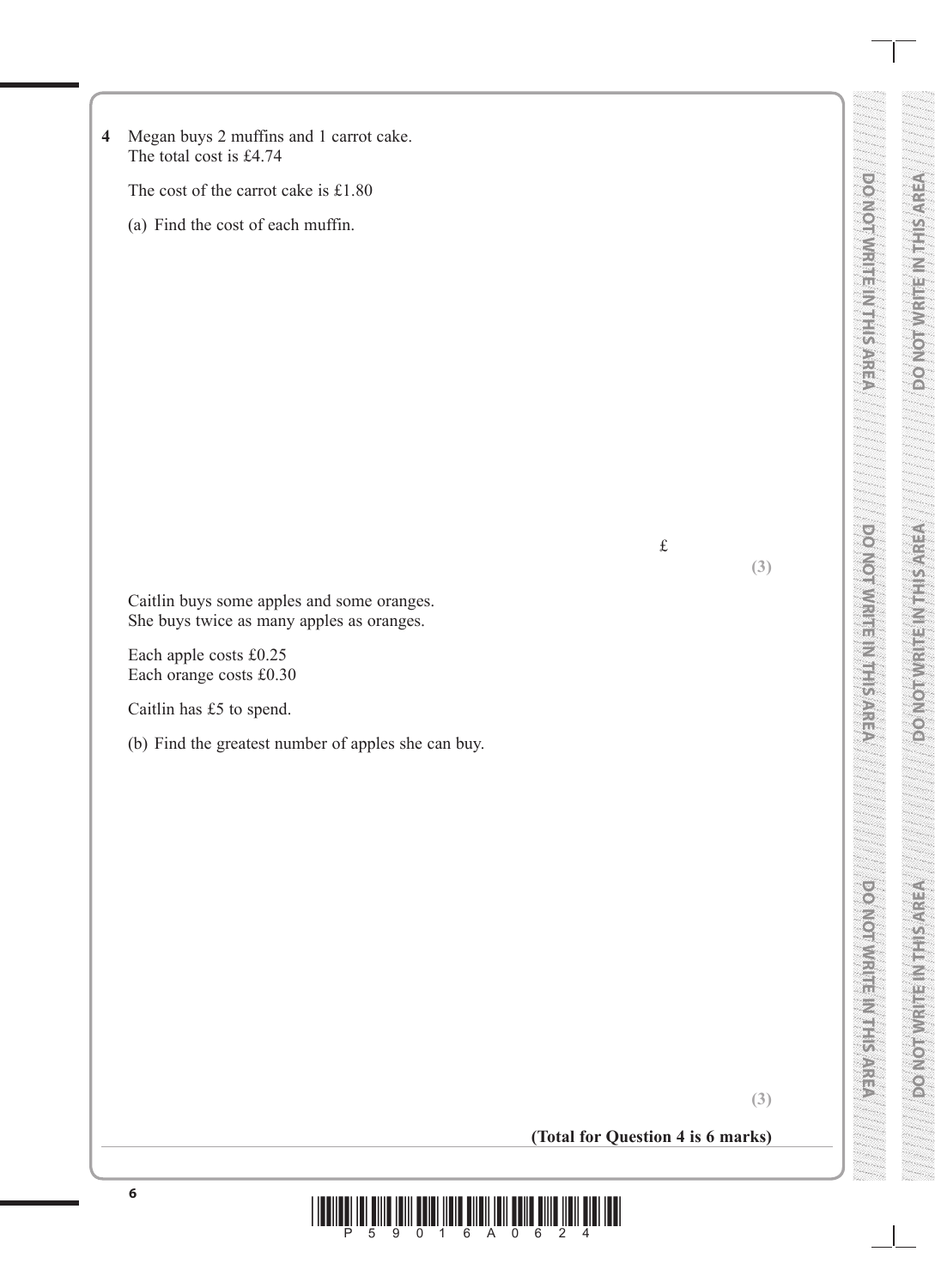| The total cost is £4.74                           | Megan buys 2 muffins and 1 carrot cake.                                                 |                                   |     |
|---------------------------------------------------|-----------------------------------------------------------------------------------------|-----------------------------------|-----|
|                                                   | The cost of the carrot cake is £1.80                                                    |                                   |     |
|                                                   | (a) Find the cost of each muffin.                                                       |                                   |     |
|                                                   |                                                                                         | $\pounds$                         | (3) |
|                                                   | Caitlin buys some apples and some oranges.<br>She buys twice as many apples as oranges. |                                   |     |
| Each apple costs £0.25<br>Each orange costs £0.30 |                                                                                         |                                   |     |
| Caitlin has £5 to spend.                          |                                                                                         |                                   |     |
|                                                   | (b) Find the greatest number of apples she can buy.                                     |                                   |     |
|                                                   |                                                                                         |                                   |     |
|                                                   |                                                                                         |                                   | (3) |
|                                                   |                                                                                         | (Total for Question 4 is 6 marks) |     |

**DO NOT WRITE IN THIS AREA DO NOT WRITE IN THIS AREA DO NOT WRITE IN THIS AREA**

**ABIA SIFILMALIE IN THIS AREA** 

**VERVISITIEN IS NUMBER OF** 

**DO NOT WRITE IN THIS AREA**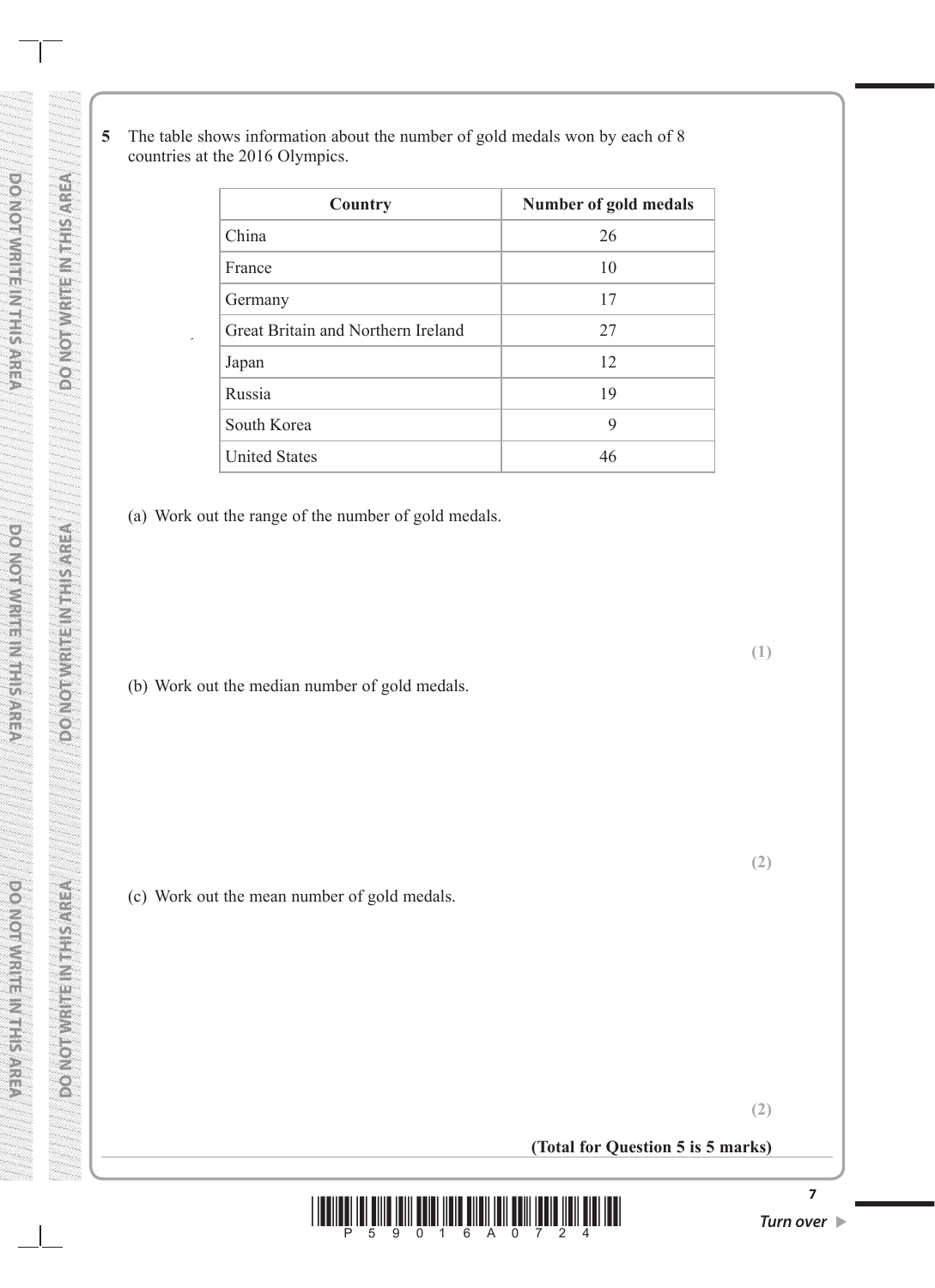**5** The table shows information about the number of gold medals won by each of 8 countries at the 2016 Olympics.

| Country                            | Number of gold medals |
|------------------------------------|-----------------------|
| China                              | 26                    |
| France                             | 10                    |
| Germany                            | 17                    |
| Great Britain and Northern Ireland | 27                    |
| Japan                              | 12                    |
| Russia                             | 19                    |
| South Korea                        | 9                     |
| <b>United States</b>               | 46                    |

(a) Work out the range of the number of gold medals.

**DO NOT WRITE IN THE INTERNATIONAL PROPERTY IN THE INTERNATIONAL PROPERTY IN THE INTERNATIONAL PROPERTY IN THE** 

VERVIS FREED TO BOOK

**Activity and Manufacture** 

**DO NOT WRITE IN THIS AREA**

**DORACINIAL SERVICES** 

**DO NOT WRITE IN THIS AREA AREA AREA AREA AREA DO NOT WRITE IN THIS AREA ARE** 

**FOR SERVICE AND CONTROL** 

**DO NOT WRITE IN THIS AREA**

po Nomina Esta SARSO

**ECONOMIC SERVICES** 

(b) Work out the median number of gold medals.

(c) Work out the mean number of gold medals.

**(2)**

**(1)**

**(2)**

**(Total for Question 5 is 5 marks)**

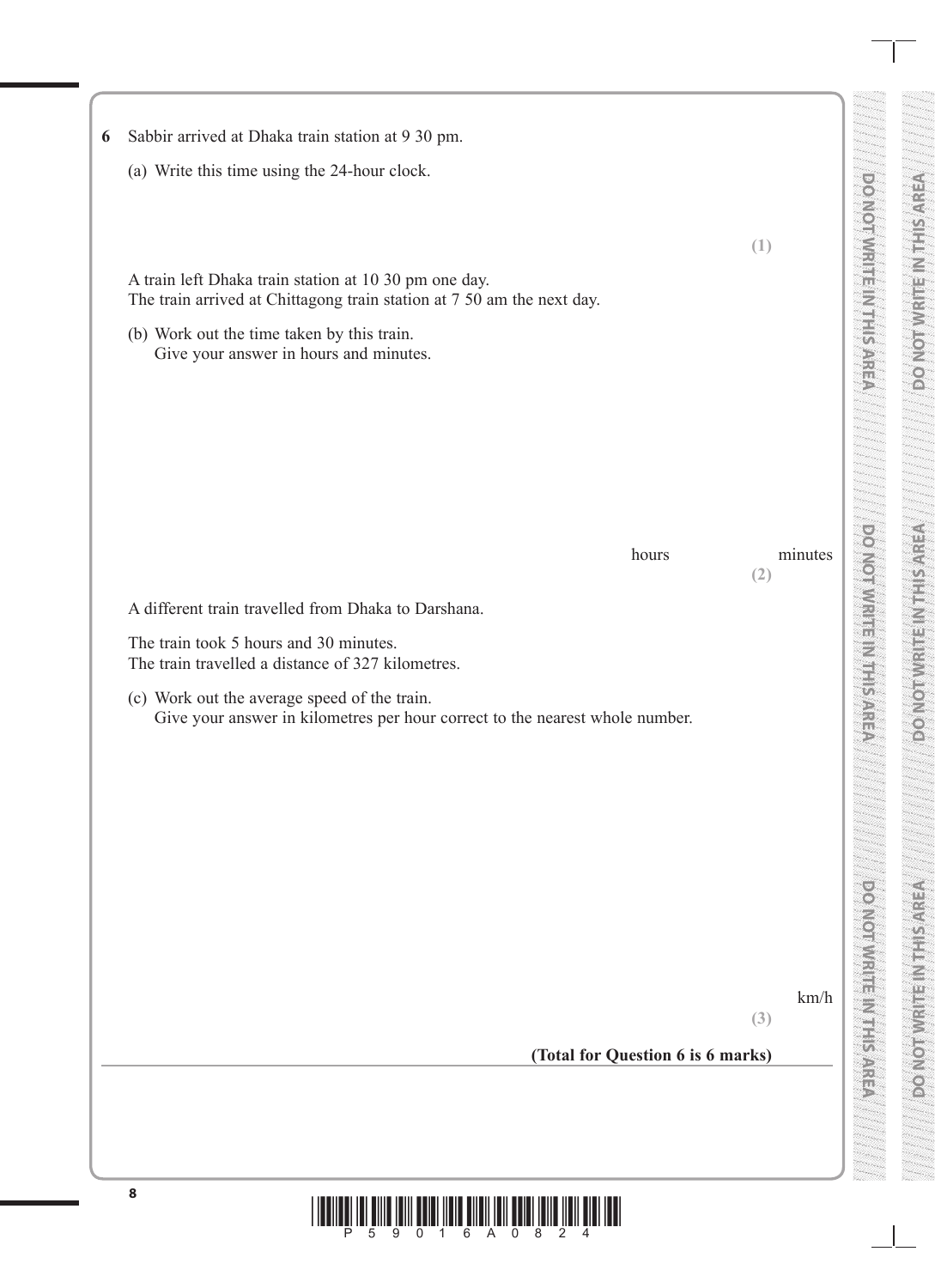| Sabbir arrived at Dhaka train station at 9 30 pm.                                                                            |     |         |  |
|------------------------------------------------------------------------------------------------------------------------------|-----|---------|--|
| (a) Write this time using the 24-hour clock.                                                                                 |     |         |  |
| A train left Dhaka train station at 10 30 pm one day.                                                                        | (1) |         |  |
| The train arrived at Chittagong train station at 7 50 am the next day.<br>(b) Work out the time taken by this train.         |     |         |  |
| Give your answer in hours and minutes.                                                                                       |     |         |  |
|                                                                                                                              |     |         |  |
|                                                                                                                              |     |         |  |
| hours                                                                                                                        |     | minutes |  |
| A different train travelled from Dhaka to Darshana.                                                                          | (2) |         |  |
| The train took 5 hours and 30 minutes.<br>The train travelled a distance of 327 kilometres.                                  |     |         |  |
| (c) Work out the average speed of the train.<br>Give your answer in kilometres per hour correct to the nearest whole number. |     |         |  |
|                                                                                                                              |     |         |  |
|                                                                                                                              |     |         |  |
|                                                                                                                              |     |         |  |
|                                                                                                                              |     |         |  |
|                                                                                                                              |     |         |  |
|                                                                                                                              | (3) | km/h    |  |
| (Total for Question 6 is 6 marks)                                                                                            |     |         |  |
|                                                                                                                              |     |         |  |
|                                                                                                                              |     |         |  |
| $\bf8$                                                                                                                       |     |         |  |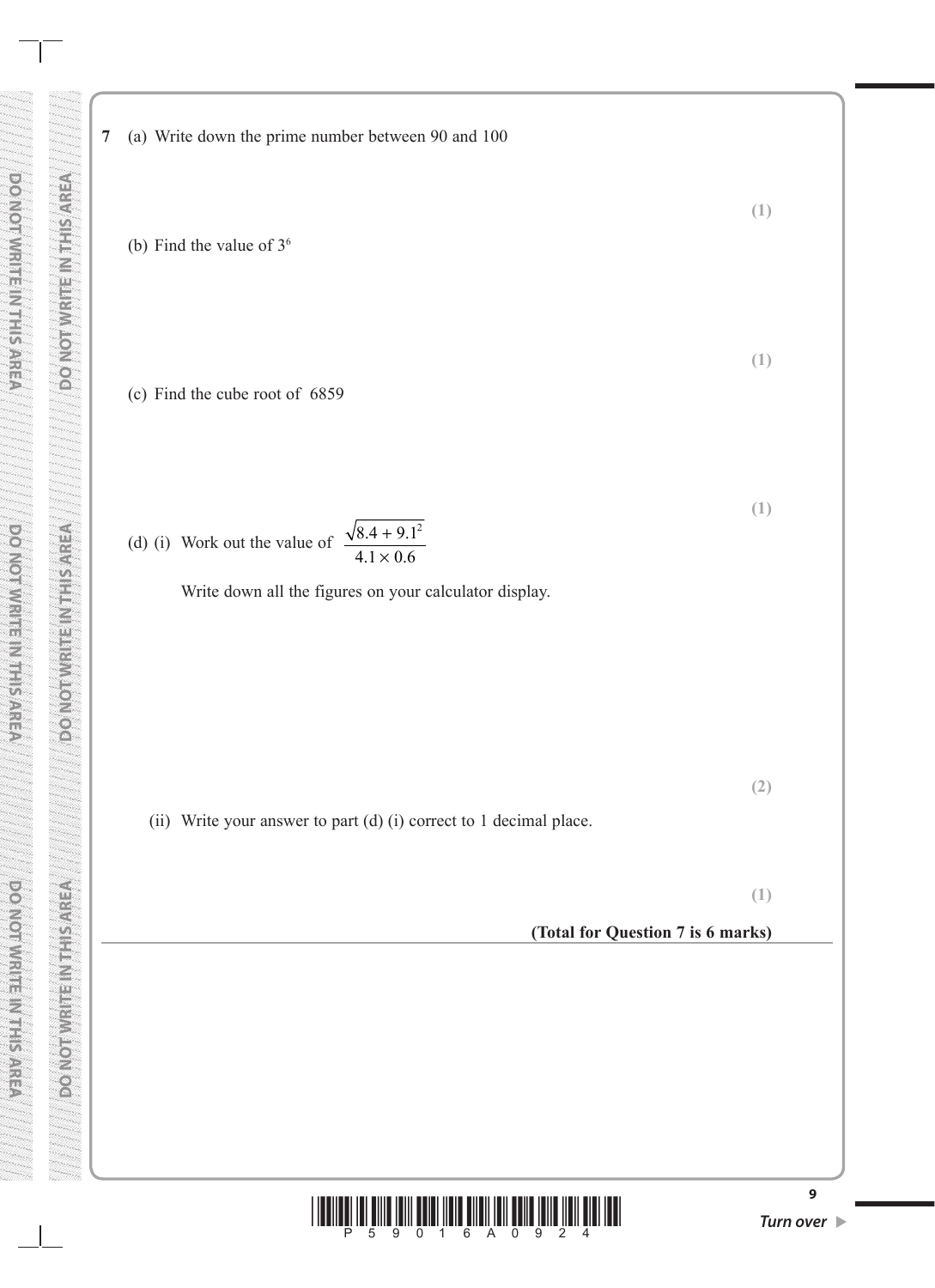**7** (a) Write down the prime number between 90 and 100

(b) Find the value of  $3<sup>6</sup>$ 

(c) Find the cube root of 6859

**(1)** (d) (i) Work out the value of  $\frac{\sqrt{8.4 + 9.1}}{10^{11}}$  $4.1 \times 0.6$  $.4 + 9.1^2$  $.1 \times 0.$ + ×

Write down all the figures on your calculator display.

**(2)**

**(1)**

**(1)**

(ii) Write your answer to part (d) (i) correct to 1 decimal place.

**(1)**

**(Total for Question 7 is 6 marks)**

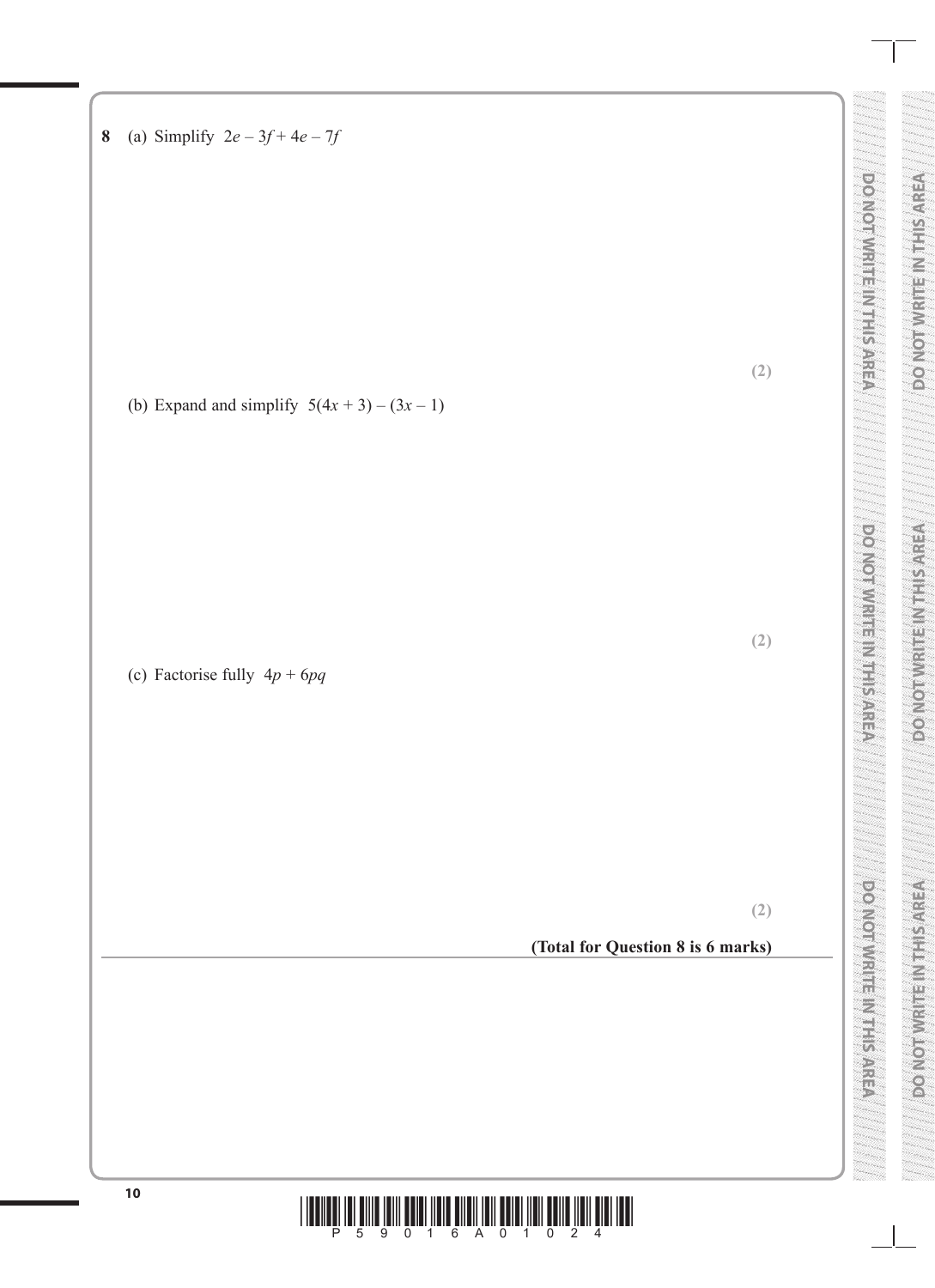**<sup>10</sup>** \*P59016A01024\* **DO NOT WRITE IN THIS AREA DO NOT WRITE IN THIS AREA DO NOT WRITE IN THIS AREA DO NOT WRITE IN THIS AREA DO NOT WRITE IN THIS AREA DO NOT WRITE IN THIS AREA 8** (a) Simplify 2*e* – 3*f* + 4*e* – 7*f* **(2)** (b) Expand and simplify 5(4*x* + 3) – (3*x* – 1) **(2)** (c) Factorise fully 4*p* + 6*pq* **(2) (Total for Question 8 is 6 marks)**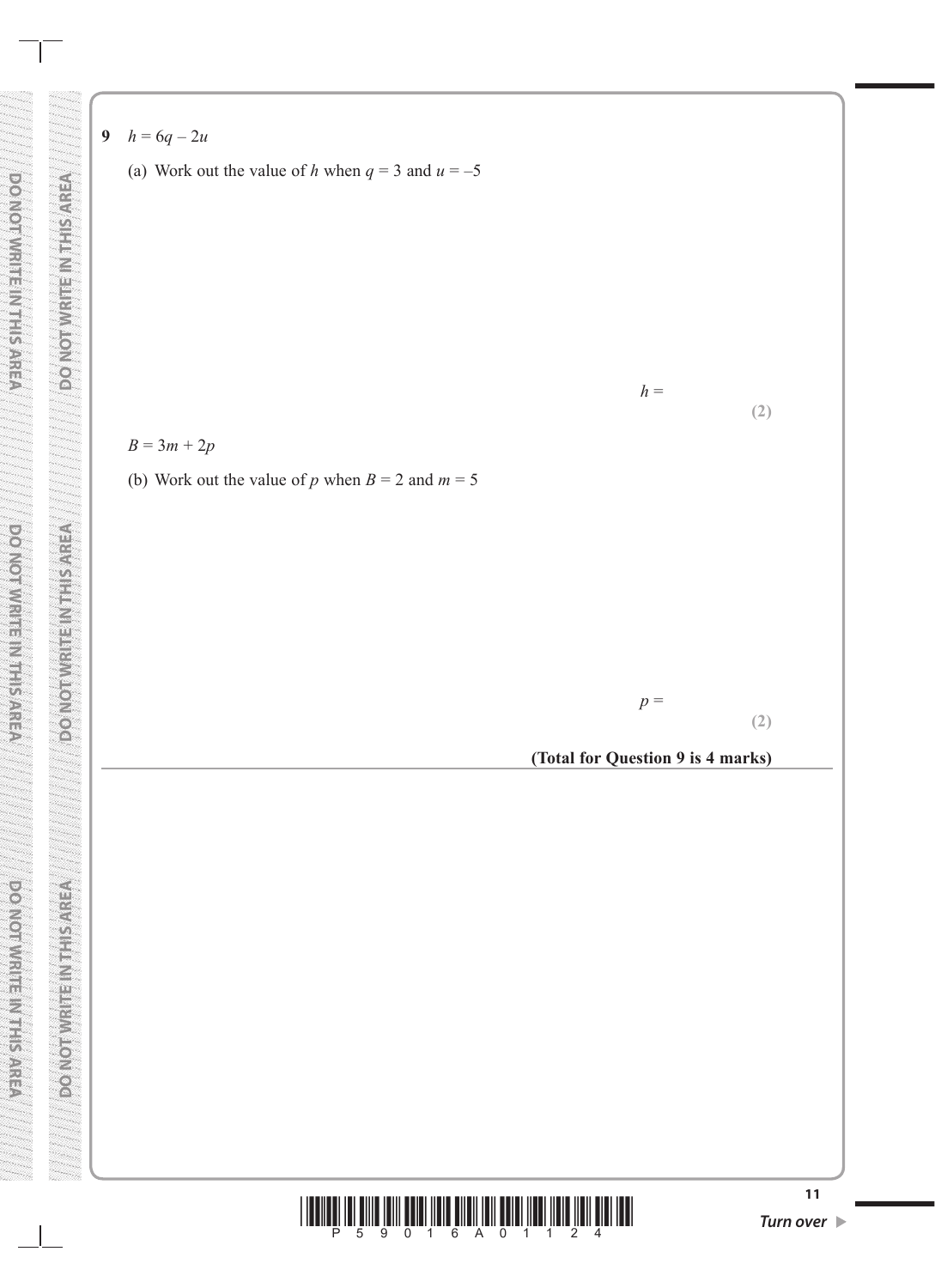- **9**  $h = 6q 2u$ 
	- (a) Work out the value of *h* when  $q = 3$  and  $u = -5$

**(2)**

 $h =$ 



(b) Work out the value of *p* when  $B = 2$  and  $m = 5$ 

**(2)**

**(Total for Question 9 is 4 marks)**

*p* =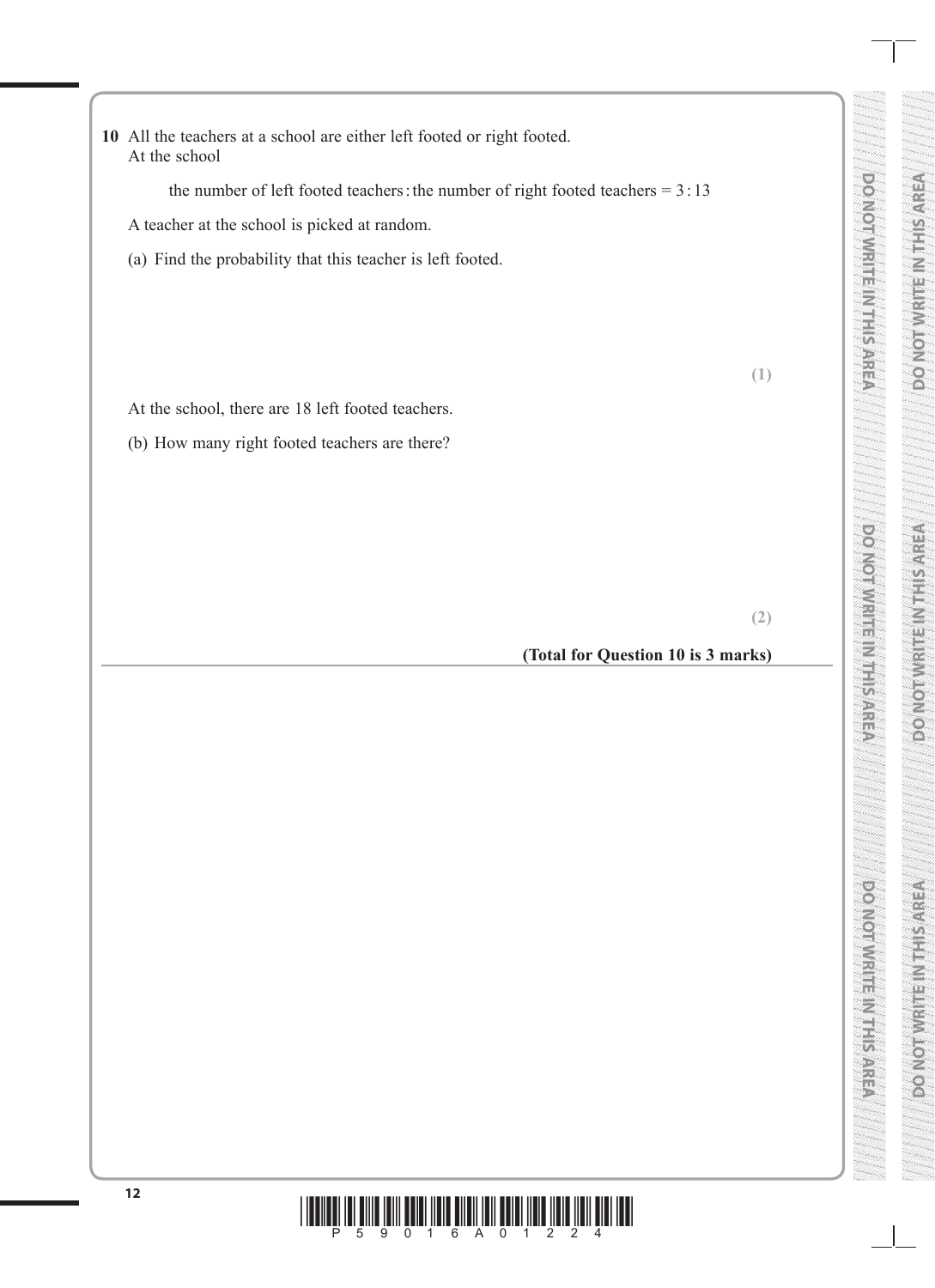**10** All the teachers at a school are either left footed or right footed. At the school

the number of left footed teachers: the number of right footed teachers =  $3:13$ 

A teacher at the school is picked at random.

(a) Find the probability that this teacher is left footed.

At the school, there are 18 left footed teachers.

(b) How many right footed teachers are there?

**(2)**

**(1)**

**DO NOT WRITE IN THE INTERNATIONAL PROPERTY AND INTERNATIONAL PROPERTY AND INTERNATIONAL PROPERTY AND INTERNATIONAL PROPERTY AND INTERNATIONAL PROPERTY AND INTERNATIONAL PROPERTY AND INTERNATIONAL PROPERTY AND INTERNATIONA** 

**DONOTHURSE** MEETING

**SOUTH AND AND AND AND AND A** 

**DO NOT WRITE IN THE INTERNATIONAL PROPERTY AREA** 

**DO NOT WRITE IN THIS AREA DO NOT WRITE IN THIS AREA DO NOT WRITE IN THIS AREA**

**DO NOT WRITE IN THIS AREA**

#### **(Total for Question 10 is 3 marks)**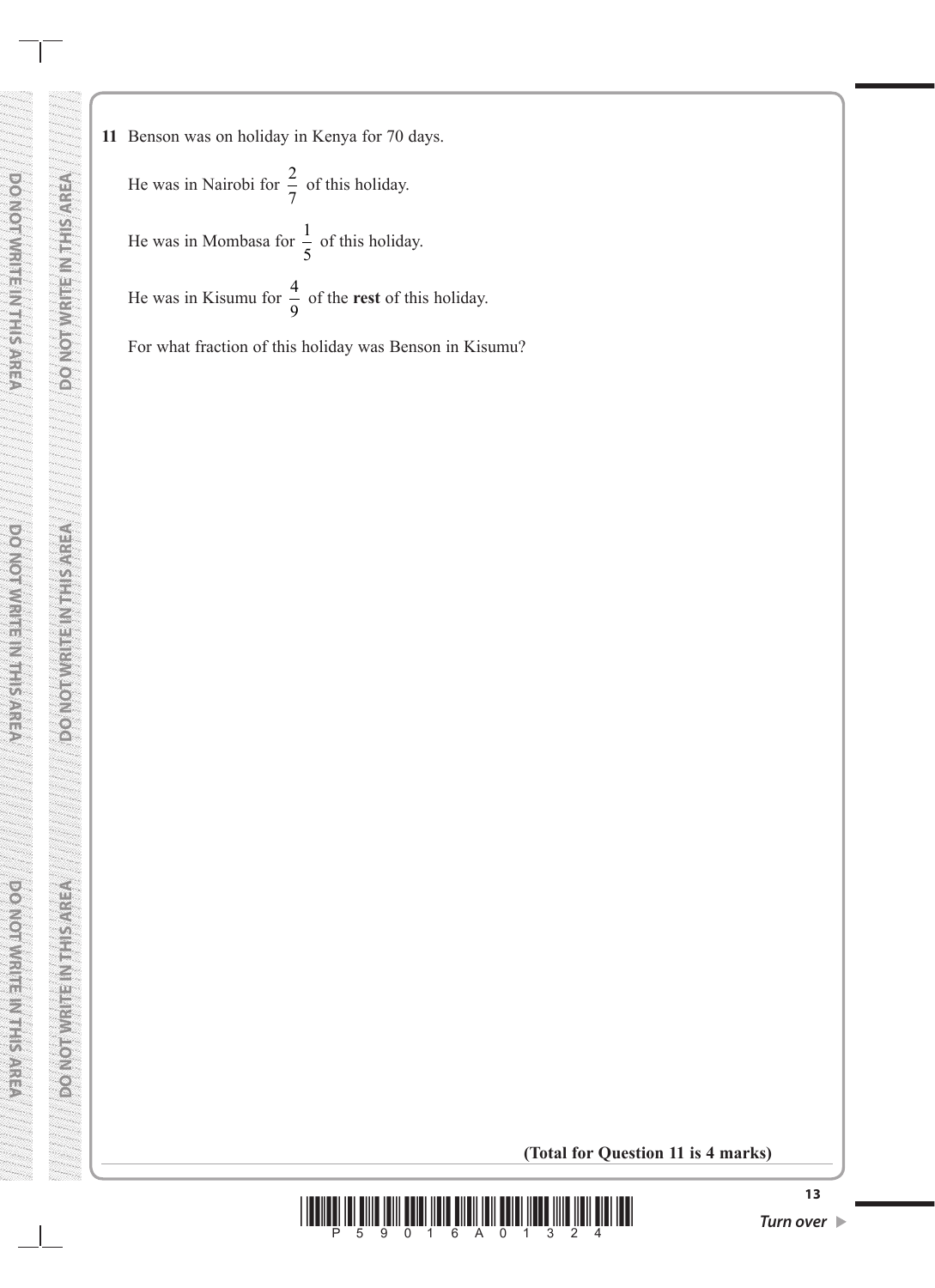- **PONOMNISHES AREA Activity and Manufacture DO NOT WRITE IN THE INTERNATIONAL PROPERTY IN THE INTERNATIONAL PROPERTY IN THE INTERNATIONAL PROPERTY IN THE DO NOT WRITE IN THIS AREA AREA AREA AREA AREA DO NOT WRITE IN THIS AREA ARE FOR SERVICE AND CONTROL** power weinger was sproken **DO NOT WRITE IN THIS AREA ECONOMIC SERVICES VENVER LEEPING DO NOT WRITE IN THIS AREA**
- **11** Benson was on holiday in Kenya for 70 days. He was in Nairobi for  $\frac{2}{7}$  of this holiday. He was in Mombasa for  $\frac{1}{5}$ 5 of this holiday. He was in Kisumu for  $\frac{4}{9}$ 9 of the **rest** of this holiday. For what fraction of this holiday was Benson in Kisumu?

**(Total for Question 11 is 4 marks)**

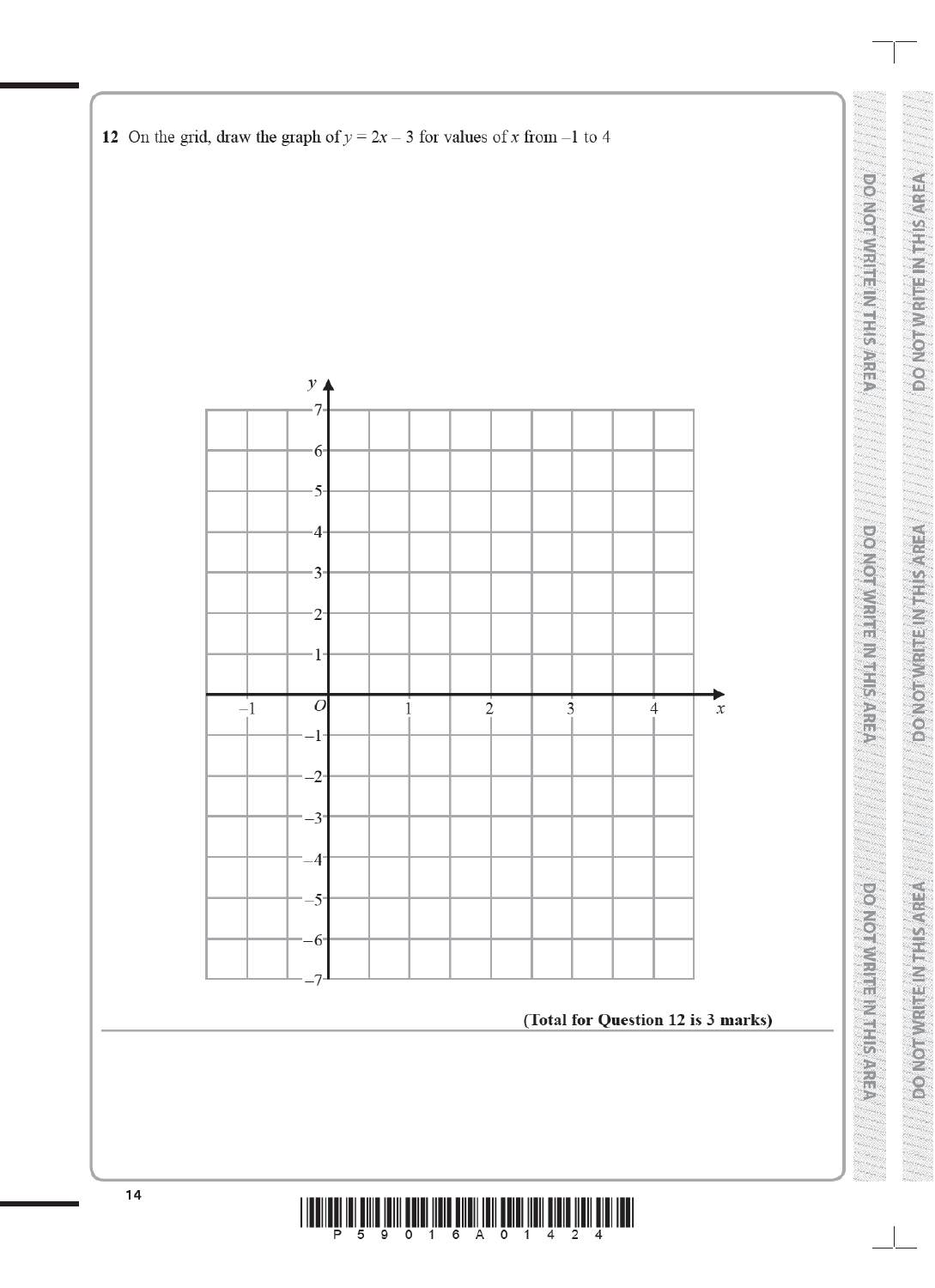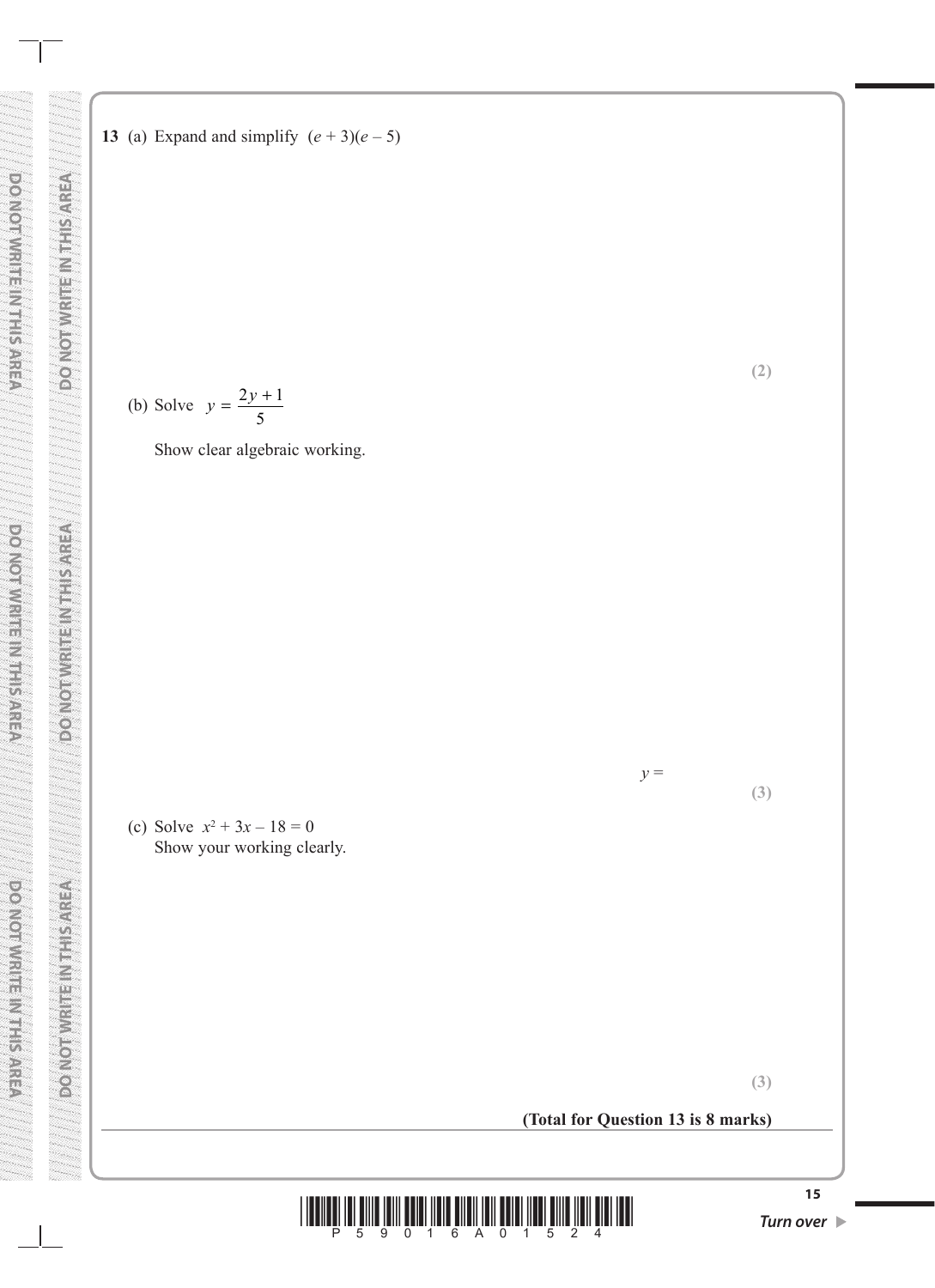

**13** (a) Expand and simplify  $(e + 3)(e - 5)$ 

**(3)**

**(3)**

**(2)**

**(Total for Question 13 is 8 marks)**

*y* =

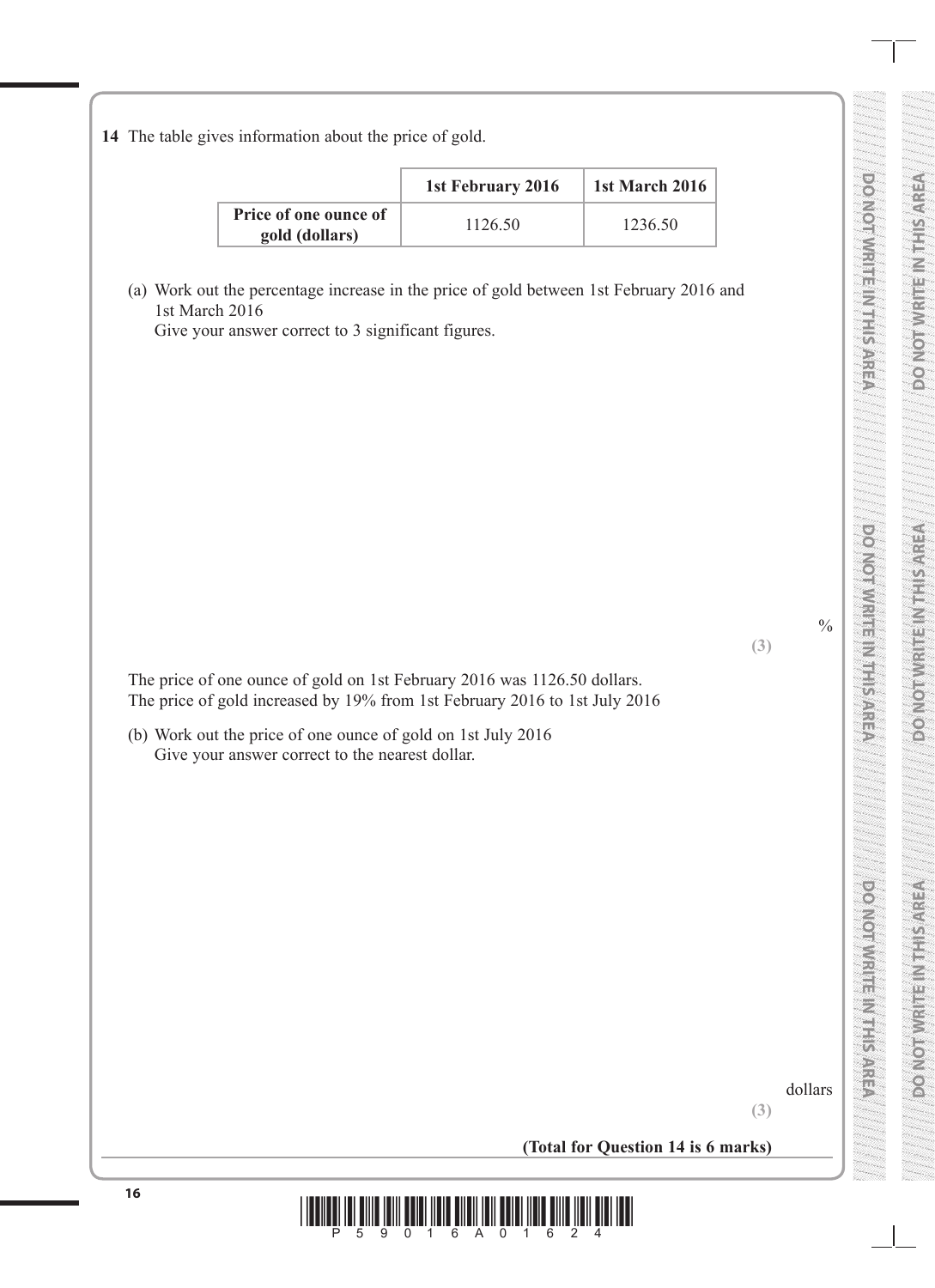**14** The table gives information about the price of gold.

|                                         | 1st February 2016 | 1st March 2016 |
|-----------------------------------------|-------------------|----------------|
| Price of one ounce of<br>gold (dollars) | 1126.50           | 1236.50        |

(a) Work out the percentage increase in the price of gold between 1st February 2016 and 1st March 2016

Give your answer correct to 3 significant figures.

The price of one ounce of gold on 1st February 2016 was 1126.50 dollars. The price of gold increased by 19% from 1st February 2016 to 1st July 2016

(b) Work out the price of one ounce of gold on 1st July 2016 Give your answer correct to the nearest dollar.

dollars

**(3)**

**DO NOT WRITE IN THE INTERNATIONAL PROPERTY AND INTERNATIONAL PROPERTY AND INTERNATIONAL PROPERTY AND INTERNATIONAL PROPERTY AND INTERNATIONAL PROPERTY AND INTERNATIONAL PROPERTY AND INTERNATIONAL PROPERTY AND INTERNATIONA** 

**DONOTHURSE** MEETING

**SOUTH AND AND AND AND AND A** 

**DO NOT WRITE IN THE INTERNATIONAL PROPERTY AREA** 

(e)<br>(0)

 $\frac{0}{0}$ 

**(3)**

**DO NOT WRITE IN THIS AREA DO NOT WRITE IN THIS AREA DO NOT WRITE IN THIS AREA**

**EXECUTE LETTER** 

**DO NOT WRITE IN THIS AREA**

**(Total for Question 14 is 6 marks)**

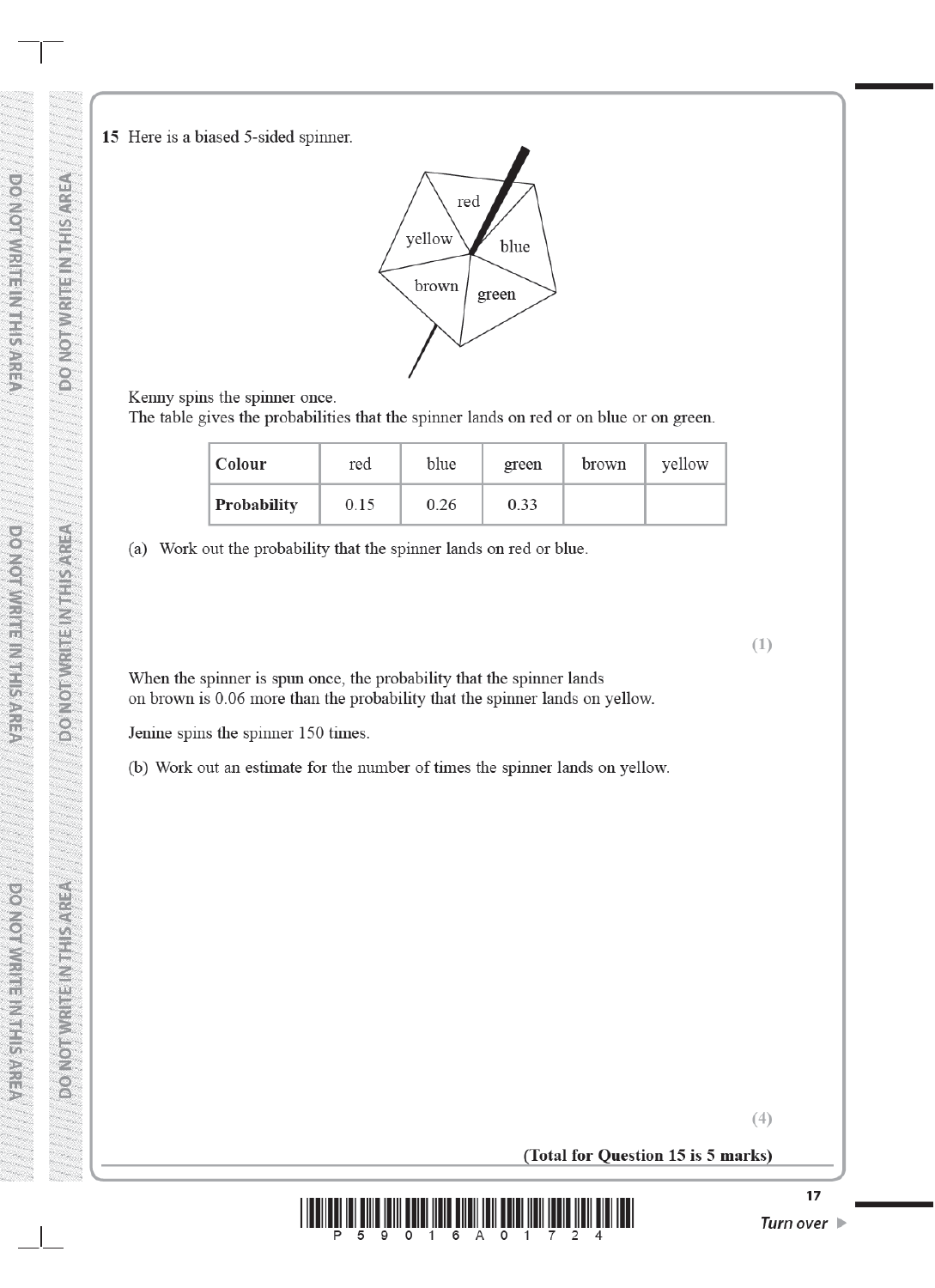**RITE INTERNER** 

NOTW

 $\overline{6}$ 

**EXAMPLE IN THE REPORT** 

**1999** 

**DO NOT WRITE IN THIS AREA** 

**DO NOT WRITE IN THIS AREA** 

DO NOTWRITE IN THIS AREA



Kenny spins the spinner once.

The table gives the probabilities that the spinner lands on red or on blue or on green.

| Colour             | red  | blue | green | brown | yellow |
|--------------------|------|------|-------|-------|--------|
| <b>Probability</b> | 0.15 | 0.26 | 0.33  |       |        |

(a) Work out the probability that the spinner lands on red or blue.

When the spinner is spun once, the probability that the spinner lands on brown is 0.06 more than the probability that the spinner lands on yellow.

Jenine spins the spinner 150 times.

(b) Work out an estimate for the number of times the spinner lands on yellow.

 $(4)$ 

 $(1)$ 

(Total for Question 15 is 5 marks)

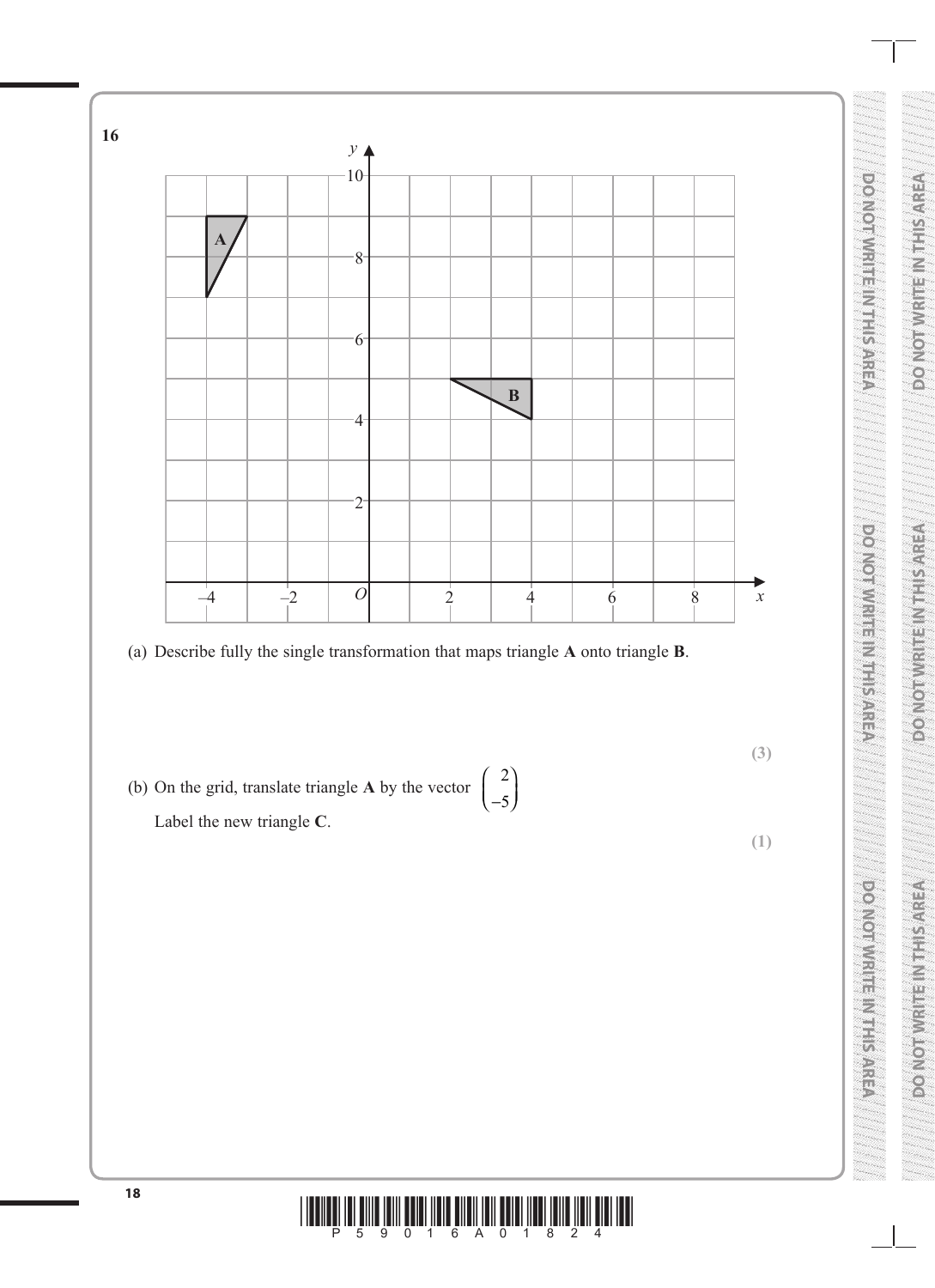

**DO NOT WRITE IN THIS AREA DO NOT WRITE IN THIS AREA DO NOT WRITE IN THIS AREA**

VERWS FRINELING ONGO

**BOILER TERRESTIVES** 

**SONO BUARE NIE SYNCO** 

## **<sup>18</sup>** \*P59016A01824\*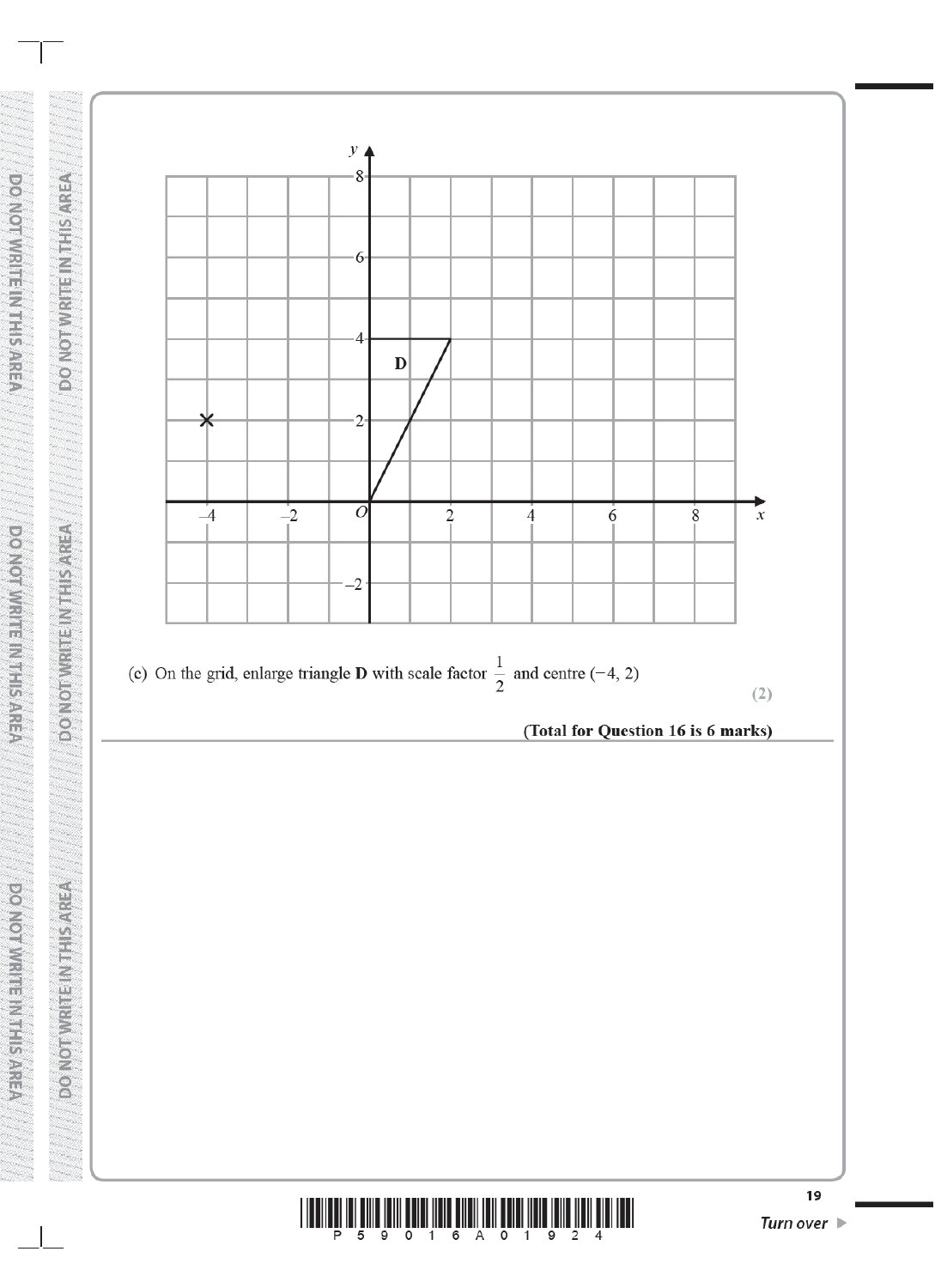

DO NOT WRITE IN THIS AREA

**DO NOT WRITE IN THIS AREA** 

**DO NOTWRITEIN THIS AREA** 

**DO NOT WRITE IN THIS AREA** 

DO NOT WASTE INSTRISAREA

DO NOTWRITE NUTISAREA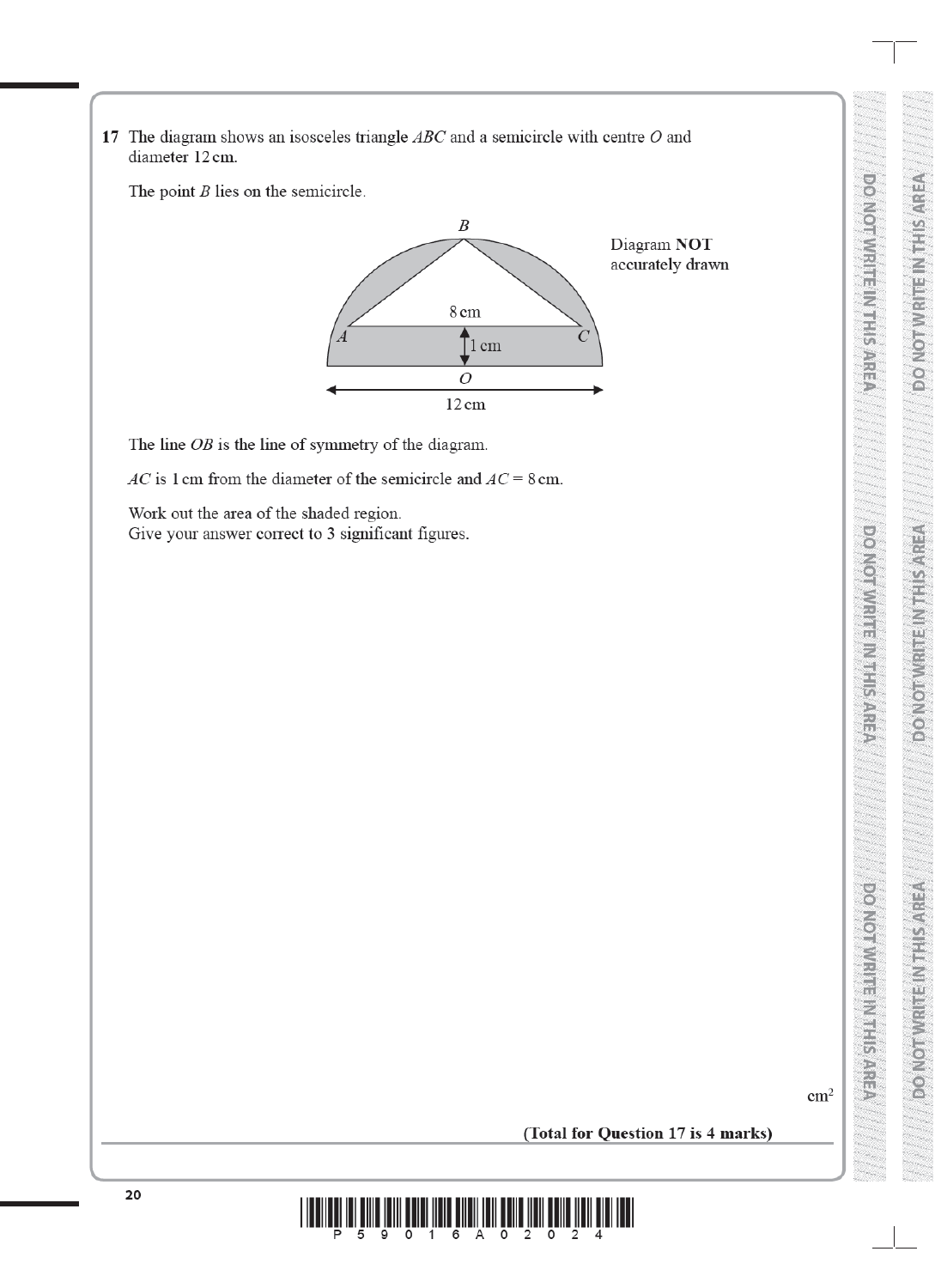17 The diagram shows an isosceles triangle  $ABC$  and a semicircle with centre  $O$  and diameter 12 cm.

The point  $B$  lies on the semicircle.



The line  $OB$  is the line of symmetry of the diagram.

AC is 1 cm from the diameter of the semicircle and  $AC = 8$  cm.

Work out the area of the shaded region. Give your answer correct to 3 significant figures.

 $\text{cm}^2$ 

**DO VOI VI VI SI VI SI VI SI VI SI VI SI** 

 $\bullet$   $\bullet$ 

WRITE MAILS ARE:

*CENTSI-LINEIR MALON OG* 

**RESERVED CENTRO VOLUME** 

**EXPORT PRESSIVE CONGRES** 

**DONIO AWRITER METALLISTIC** 

(Total for Question 17 is 4 marks)

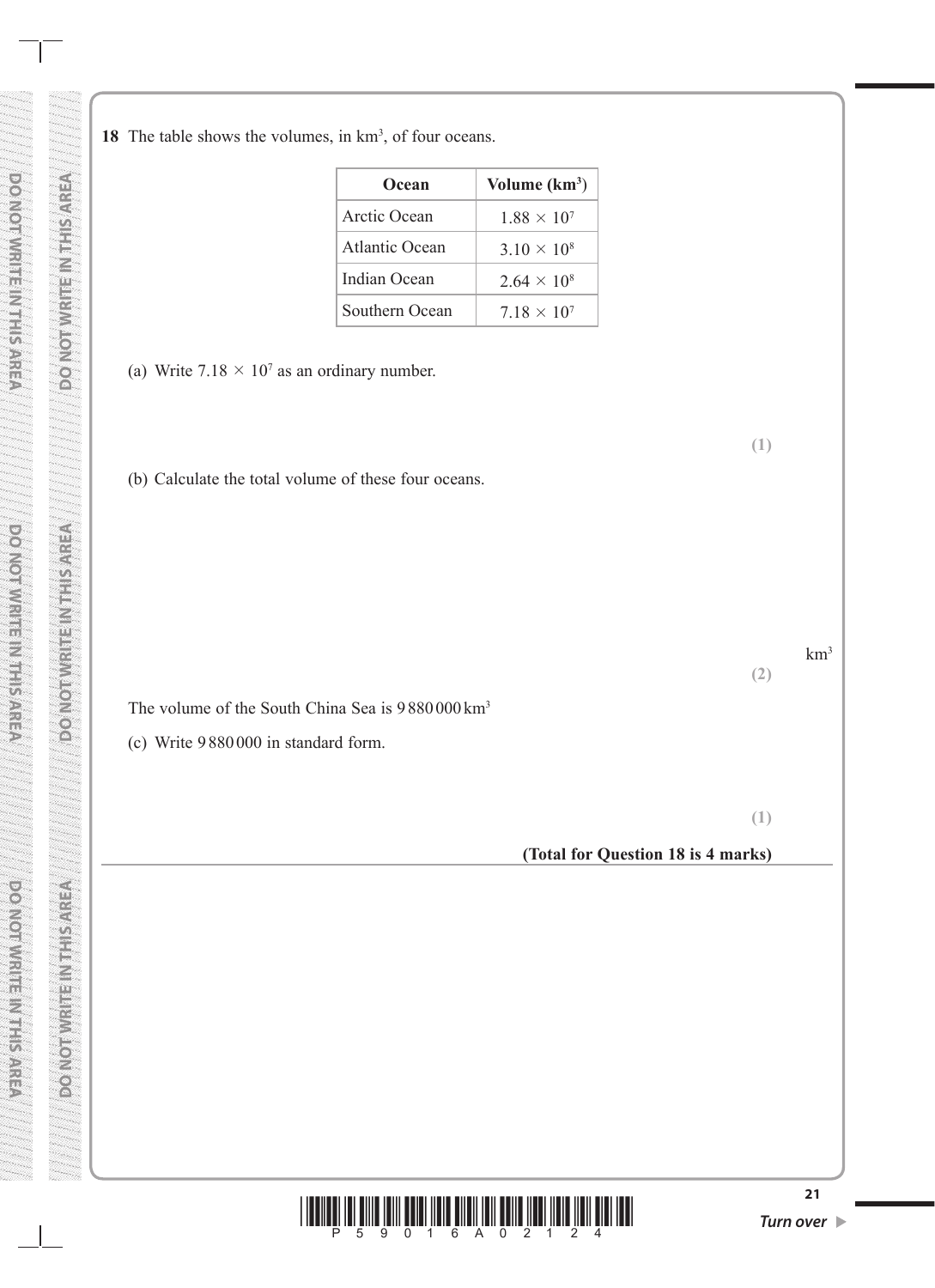| Ocean          | Volume $(km^3)$      |
|----------------|----------------------|
| Arctic Ocean   | $1.88 \times 10^{7}$ |
| Atlantic Ocean | $3.10 \times 10^{8}$ |
| Indian Ocean   | $2.64 \times 10^8$   |
| Southern Ocean | $7.18 \times 10^{7}$ |

(a) Write  $7.18 \times 10^7$  as an ordinary number.

(b) Calculate the total volume of these four oceans.

The volume of the South China Sea is  $9880000 \text{ km}^3$ 

 $km<sup>3</sup>$ 

### (c) Write 9880 000 in standard form.

**(2)**

**(1)**

#### **(Total for Question 18 is 4 marks)**

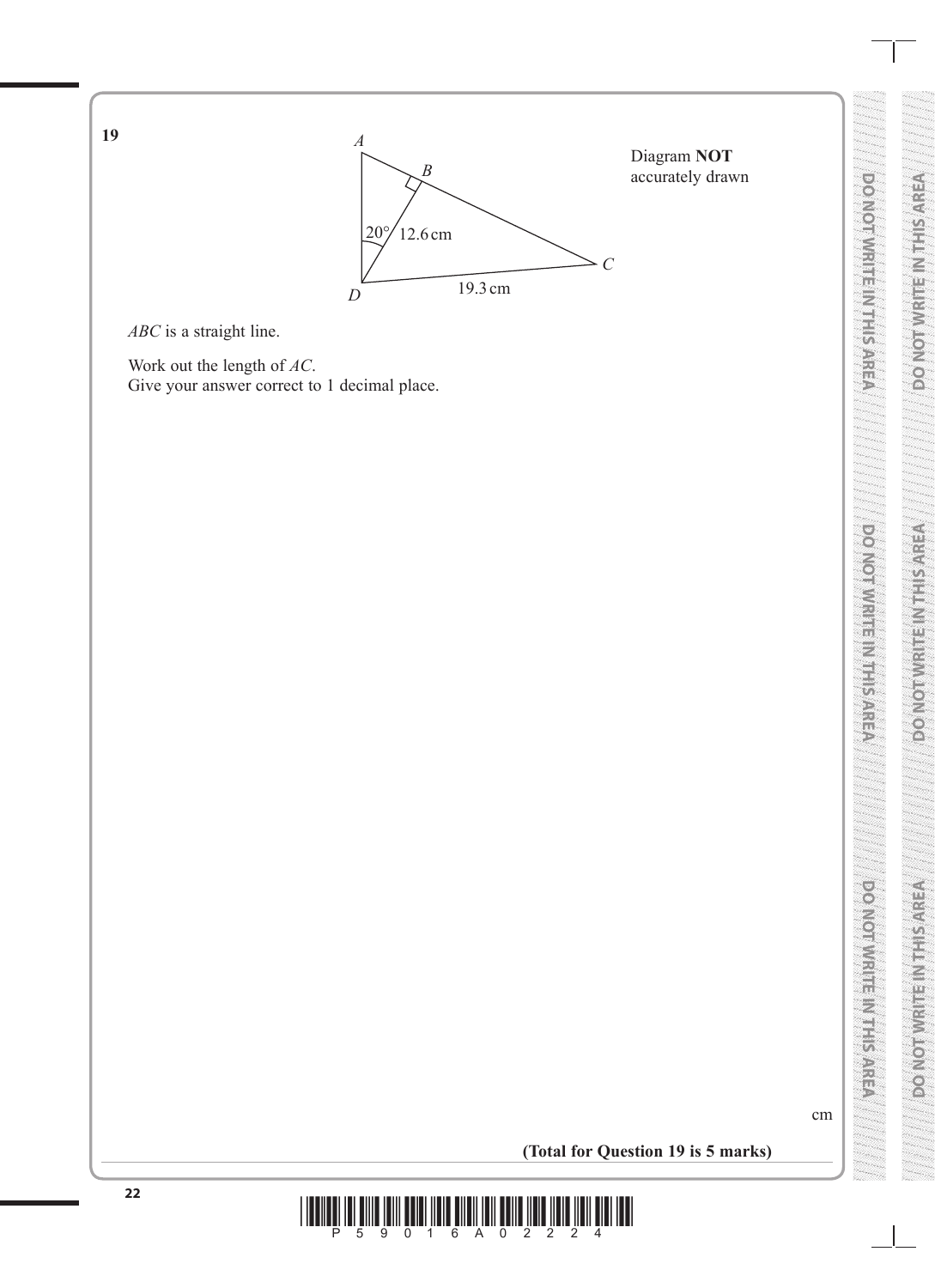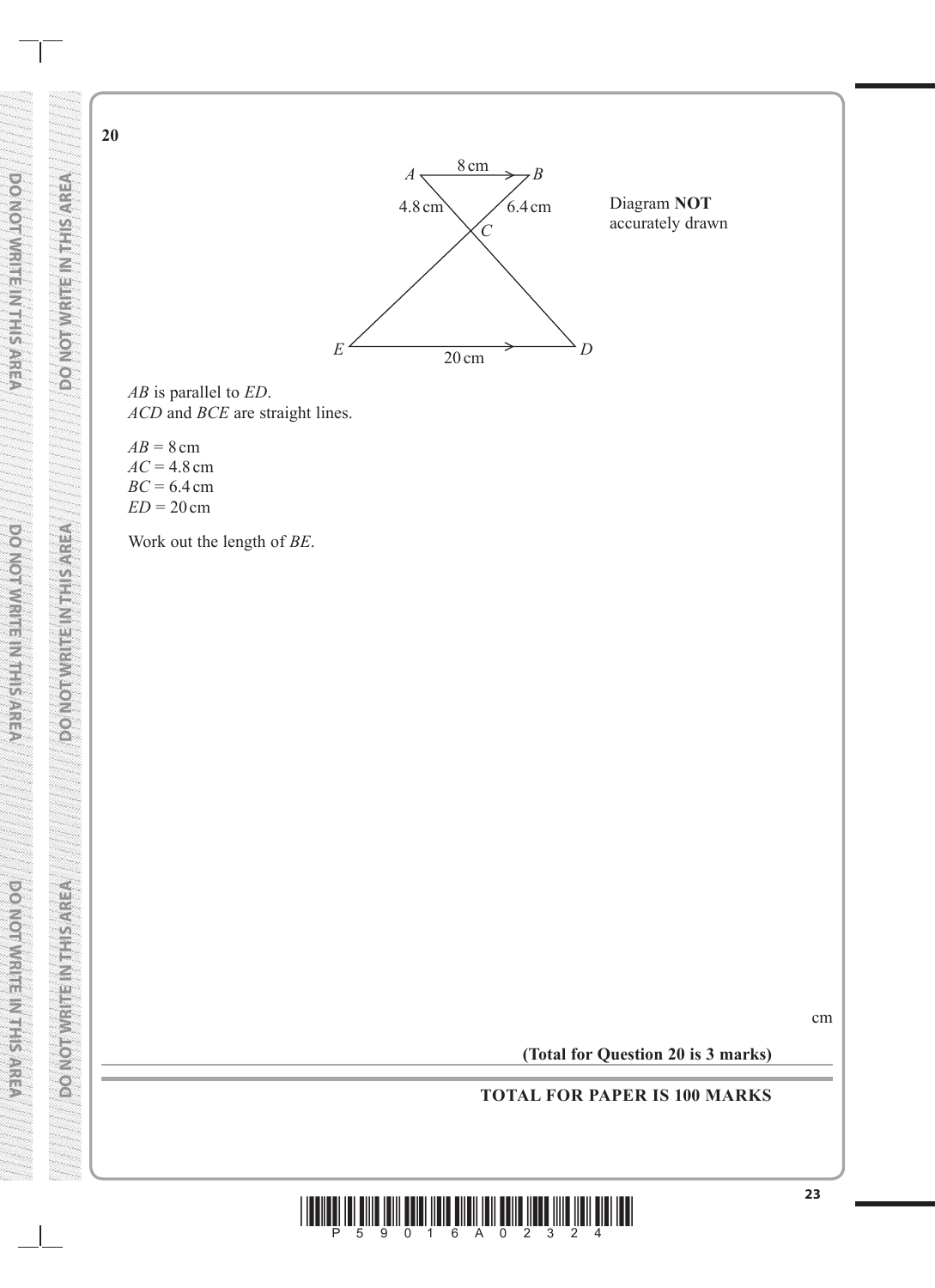

*AB* is parallel to *ED*. *ACD* and *BCE* are straight lines.

 $AB = 8$  cm  $AC = 4.8$  cm *BC* = 6.4cm *ED* = 20 cm

**DO NOT WRITE IN THE INTERNATIONAL PROPERTY IN THE INTERNATIONAL PROPERTY IN THE INTERNATIONAL PROPERTY IN THE** 

VENUS PREFIGURES (

**BOATORY HERE ARE SOLUTION** 

**20**

**DO NOT WRITE IN THIS AREA**

**PORTORIAL PRESENTATION** 

**DO NOT WRITE IN THIS AREA AREA AREA AREA AREA DO NOT WRITE IN THIS AREA ARE** 

**FOR SERVICE IN THE CONTROL** 

**DO NOT WRITE IN THIS AREA**

povemy Reserved

**ECONOMIC SERVICES** 

Work out the length of *BE*.

cm

**(Total for Question 20 is 3 marks)**

**TOTAL FOR PAPER IS 100 MARKS**